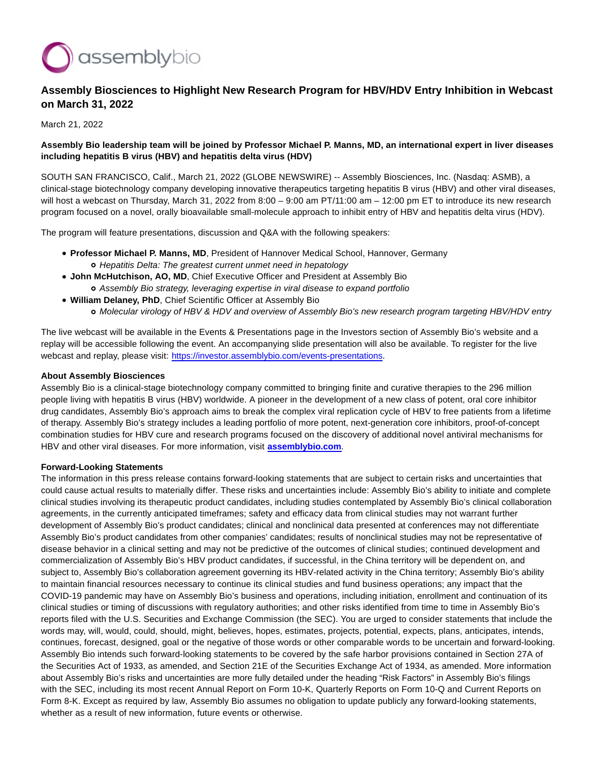

# **Assembly Biosciences to Highlight New Research Program for HBV/HDV Entry Inhibition in Webcast on March 31, 2022**

March 21, 2022

## **Assembly Bio leadership team will be joined by Professor Michael P. Manns, MD, an international expert in liver diseases including hepatitis B virus (HBV) and hepatitis delta virus (HDV)**

SOUTH SAN FRANCISCO, Calif., March 21, 2022 (GLOBE NEWSWIRE) -- Assembly Biosciences, Inc. (Nasdaq: ASMB), a clinical-stage biotechnology company developing innovative therapeutics targeting hepatitis B virus (HBV) and other viral diseases, will host a webcast on Thursday, March 31, 2022 from 8:00 – 9:00 am PT/11:00 am – 12:00 pm ET to introduce its new research program focused on a novel, orally bioavailable small-molecule approach to inhibit entry of HBV and hepatitis delta virus (HDV).

The program will feature presentations, discussion and Q&A with the following speakers:

- **Professor Michael P. Manns, MD**, President of Hannover Medical School, Hannover, Germany o Hepatitis Delta: The greatest current unmet need in hepatology
- **John McHutchison, AO, MD**, Chief Executive Officer and President at Assembly Bio Assembly Bio strategy, leveraging expertise in viral disease to expand portfolio
- **William Delaney, PhD**, Chief Scientific Officer at Assembly Bio Molecular virology of HBV & HDV and overview of Assembly Bio's new research program targeting HBV/HDV entry

The live webcast will be available in the Events & Presentations page in the Investors section of Assembly Bio's website and a replay will be accessible following the event. An accompanying slide presentation will also be available. To register for the live webcast and replay, please visit: [https://investor.assemblybio.com/events-presentations.](https://www.globenewswire.com/Tracker?data=Sw92EUB2x3FOxY-dOa2BlMi6uonr6fvsp4wm93KL3ci7qCibyu4rdj2A_H89-H-CD-fCoNi-pDpg-ytw1nidra0GSAsCF3F6bf-K_pBdVHCoVF-sr3FEGuvCX3fdz43EKmvKYf-isw241LOnrZ8GuL8bRCMP0mdUfE6Uri6ZmSg=)

### **About Assembly Biosciences**

Assembly Bio is a clinical-stage biotechnology company committed to bringing finite and curative therapies to the 296 million people living with hepatitis B virus (HBV) worldwide. A pioneer in the development of a new class of potent, oral core inhibitor drug candidates, Assembly Bio's approach aims to break the complex viral replication cycle of HBV to free patients from a lifetime of therapy. Assembly Bio's strategy includes a leading portfolio of more potent, next-generation core inhibitors, proof-of-concept combination studies for HBV cure and research programs focused on the discovery of additional novel antiviral mechanisms for HBV and other viral diseases. For more information, visit **[assemblybio.com](https://www.globenewswire.com/Tracker?data=QpXrOCA52ncwhP1fDrIeUoZzh8jZsrWBO7UCqW4Hag4dgctU4rszn7PvM-U2k3WX5_QPsHA_x2THPadvcaoRpfr1KAualJOg2BruQc429XQ=)**.

#### **Forward-Looking Statements**

The information in this press release contains forward-looking statements that are subject to certain risks and uncertainties that could cause actual results to materially differ. These risks and uncertainties include: Assembly Bio's ability to initiate and complete clinical studies involving its therapeutic product candidates, including studies contemplated by Assembly Bio's clinical collaboration agreements, in the currently anticipated timeframes; safety and efficacy data from clinical studies may not warrant further development of Assembly Bio's product candidates; clinical and nonclinical data presented at conferences may not differentiate Assembly Bio's product candidates from other companies' candidates; results of nonclinical studies may not be representative of disease behavior in a clinical setting and may not be predictive of the outcomes of clinical studies; continued development and commercialization of Assembly Bio's HBV product candidates, if successful, in the China territory will be dependent on, and subject to, Assembly Bio's collaboration agreement governing its HBV-related activity in the China territory; Assembly Bio's ability to maintain financial resources necessary to continue its clinical studies and fund business operations; any impact that the COVID-19 pandemic may have on Assembly Bio's business and operations, including initiation, enrollment and continuation of its clinical studies or timing of discussions with regulatory authorities; and other risks identified from time to time in Assembly Bio's reports filed with the U.S. Securities and Exchange Commission (the SEC). You are urged to consider statements that include the words may, will, would, could, should, might, believes, hopes, estimates, projects, potential, expects, plans, anticipates, intends, continues, forecast, designed, goal or the negative of those words or other comparable words to be uncertain and forward-looking. Assembly Bio intends such forward-looking statements to be covered by the safe harbor provisions contained in Section 27A of the Securities Act of 1933, as amended, and Section 21E of the Securities Exchange Act of 1934, as amended. More information about Assembly Bio's risks and uncertainties are more fully detailed under the heading "Risk Factors" in Assembly Bio's filings with the SEC, including its most recent Annual Report on Form 10-K, Quarterly Reports on Form 10-Q and Current Reports on Form 8-K. Except as required by law, Assembly Bio assumes no obligation to update publicly any forward-looking statements, whether as a result of new information, future events or otherwise.